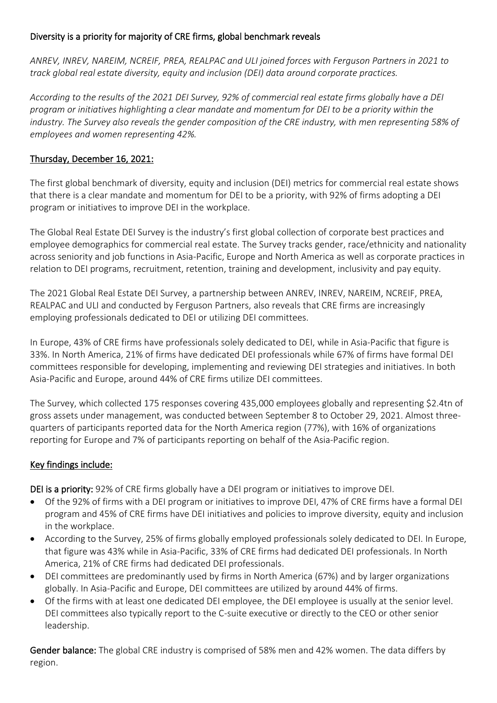## Diversity is a priority for majority of CRE firms, global benchmark reveals

*ANREV, INREV, NAREIM, NCREIF, PREA, REALPAC and ULI joined forces with Ferguson Partners in 2021 to track global real estate diversity, equity and inclusion (DEI) data around corporate practices.* 

*According to the results of the 2021 DEI Survey, 92% of commercial real estate firms globally have a DEI program or initiatives highlighting a clear mandate and momentum for DEI to be a priority within the industry. The Survey also reveals the gender composition of the CRE industry, with men representing 58% of employees and women representing 42%.*

## Thursday, December 16, 2021:

The first global benchmark of diversity, equity and inclusion (DEI) metrics for commercial real estate shows that there is a clear mandate and momentum for DEI to be a priority, with 92% of firms adopting a DEI program or initiatives to improve DEI in the workplace.

The Global Real Estate DEI Survey is the industry's first global collection of corporate best practices and employee demographics for commercial real estate. The Survey tracks gender, race/ethnicity and nationality across seniority and job functions in Asia-Pacific, Europe and North America as well as corporate practices in relation to DEI programs, recruitment, retention, training and development, inclusivity and pay equity.

The 2021 Global Real Estate DEI Survey, a partnership between ANREV, INREV, NAREIM, NCREIF, PREA, REALPAC and ULI and conducted by Ferguson Partners, also reveals that CRE firms are increasingly employing professionals dedicated to DEI or utilizing DEI committees.

In Europe, 43% of CRE firms have professionals solely dedicated to DEI, while in Asia-Pacific that figure is 33%. In North America, 21% of firms have dedicated DEI professionals while 67% of firms have formal DEI committees responsible for developing, implementing and reviewing DEI strategies and initiatives. In both Asia-Pacific and Europe, around 44% of CRE firms utilize DEI committees.

The Survey, which collected 175 responses covering 435,000 employees globally and representing \$2.4tn of gross assets under management, was conducted between September 8 to October 29, 2021. Almost threequarters of participants reported data for the North America region (77%), with 16% of organizations reporting for Europe and 7% of participants reporting on behalf of the Asia-Pacific region.

## Key findings include:

DEI is a priority: 92% of CRE firms globally have a DEI program or initiatives to improve DEI.

- Of the 92% of firms with a DEI program or initiatives to improve DEI, 47% of CRE firms have a formal DEI program and 45% of CRE firms have DEI initiatives and policies to improve diversity, equity and inclusion in the workplace.
- According to the Survey, 25% of firms globally employed professionals solely dedicated to DEI. In Europe, that figure was 43% while in Asia-Pacific, 33% of CRE firms had dedicated DEI professionals. In North America, 21% of CRE firms had dedicated DEI professionals.
- DEI committees are predominantly used by firms in North America (67%) and by larger organizations globally. In Asia-Pacific and Europe, DEI committees are utilized by around 44% of firms.
- Of the firms with at least one dedicated DEI employee, the DEI employee is usually at the senior level. DEI committees also typically report to the C-suite executive or directly to the CEO or other senior leadership.

Gender balance: The global CRE industry is comprised of 58% men and 42% women. The data differs by region.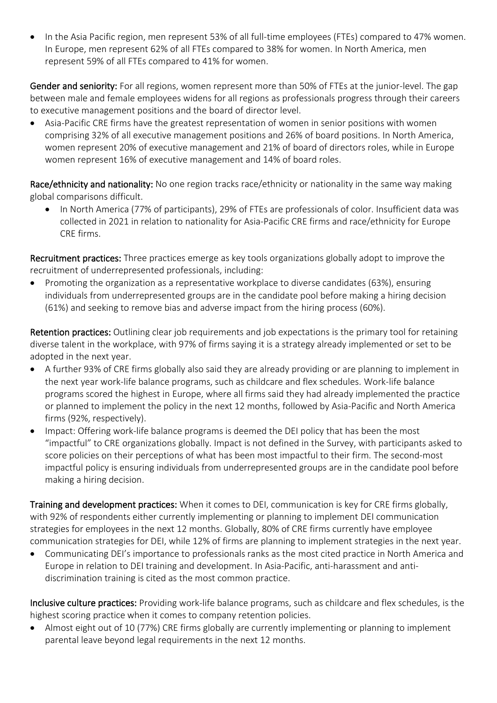In the Asia Pacific region, men represent 53% of all full-time employees (FTEs) compared to 47% women. In Europe, men represent 62% of all FTEs compared to 38% for women. In North America, men represent 59% of all FTEs compared to 41% for women.

Gender and seniority: For all regions, women represent more than 50% of FTEs at the junior-level. The gap between male and female employees widens for all regions as professionals progress through their careers to executive management positions and the board of director level.

• Asia-Pacific CRE firms have the greatest representation of women in senior positions with women comprising 32% of all executive management positions and 26% of board positions. In North America, women represent 20% of executive management and 21% of board of directors roles, while in Europe women represent 16% of executive management and 14% of board roles.

Race/ethnicity and nationality: No one region tracks race/ethnicity or nationality in the same way making global comparisons difficult.

• In North America (77% of participants), 29% of FTEs are professionals of color. Insufficient data was collected in 2021 in relation to nationality for Asia-Pacific CRE firms and race/ethnicity for Europe CRE firms.

Recruitment practices: Three practices emerge as key tools organizations globally adopt to improve the recruitment of underrepresented professionals, including:

• Promoting the organization as a representative workplace to diverse candidates (63%), ensuring individuals from underrepresented groups are in the candidate pool before making a hiring decision (61%) and seeking to remove bias and adverse impact from the hiring process (60%).

Retention practices: Outlining clear job requirements and job expectations is the primary tool for retaining diverse talent in the workplace, with 97% of firms saying it is a strategy already implemented or set to be adopted in the next year.

- A further 93% of CRE firms globally also said they are already providing or are planning to implement in the next year work-life balance programs, such as childcare and flex schedules. Work-life balance programs scored the highest in Europe, where all firms said they had already implemented the practice or planned to implement the policy in the next 12 months, followed by Asia-Pacific and North America firms (92%, respectively).
- Impact: Offering work-life balance programs is deemed the DEI policy that has been the most "impactful" to CRE organizations globally. Impact is not defined in the Survey, with participants asked to score policies on their perceptions of what has been most impactful to their firm. The second-most impactful policy is ensuring individuals from underrepresented groups are in the candidate pool before making a hiring decision.

Training and development practices: When it comes to DEI, communication is key for CRE firms globally, with 92% of respondents either currently implementing or planning to implement DEI communication strategies for employees in the next 12 months. Globally, 80% of CRE firms currently have employee communication strategies for DEI, while 12% of firms are planning to implement strategies in the next year.

• Communicating DEI's importance to professionals ranks as the most cited practice in North America and Europe in relation to DEI training and development. In Asia-Pacific, anti-harassment and antidiscrimination training is cited as the most common practice.

Inclusive culture practices: Providing work-life balance programs, such as childcare and flex schedules, is the highest scoring practice when it comes to company retention policies.

• Almost eight out of 10 (77%) CRE firms globally are currently implementing or planning to implement parental leave beyond legal requirements in the next 12 months.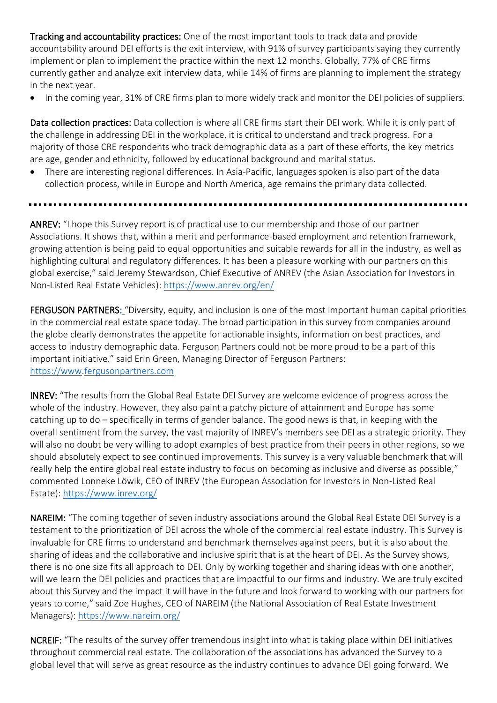Tracking and accountability practices: One of the most important tools to track data and provide accountability around DEI efforts is the exit interview, with 91% of survey participants saying they currently implement or plan to implement the practice within the next 12 months. Globally, 77% of CRE firms currently gather and analyze exit interview data, while 14% of firms are planning to implement the strategy in the next year.

• In the coming year, 31% of CRE firms plan to more widely track and monitor the DEI policies of suppliers.

Data collection practices: Data collection is where all CRE firms start their DEI work. While it is only part of the challenge in addressing DEI in the workplace, it is critical to understand and track progress. For a majority of those CRE respondents who track demographic data as a part of these efforts, the key metrics are age, gender and ethnicity, followed by educational background and marital status.

- There are interesting regional differences. In Asia-Pacific, languages spoken is also part of the data collection process, while in Europe and North America, age remains the primary data collected.
- 

ANREV: "I hope this Survey report is of practical use to our membership and those of our partner Associations. It shows that, within a merit and performance-based employment and retention framework, growing attention is being paid to equal opportunities and suitable rewards for all in the industry, as well as highlighting cultural and regulatory differences. It has been a pleasure working with our partners on this global exercise," said Jeremy Stewardson, Chief Executive of ANREV (the Asian Association for Investors in Non-Listed Real Estate Vehicles):<https://www.anrev.org/en/>

FERGUSON PARTNERS: "Diversity, equity, and inclusion is one of the most important human capital priorities in the commercial real estate space today. The broad participation in this survey from companies around the globe clearly demonstrates the appetite for actionable insights, information on best practices, and access to industry demographic data. Ferguson Partners could not be more proud to be a part of this important initiative." said Erin Green, Managing Director of Ferguson Partners: [https://www](https://www/)[.fergusonpartners.com](http://www.fergusonpartners.com/)

INREV: "The results from the Global Real Estate DEI Survey are welcome evidence of progress across the whole of the industry. However, they also paint a patchy picture of attainment and Europe has some catching up to do – specifically in terms of gender balance. The good news is that, in keeping with the overall sentiment from the survey, the vast majority of INREV's members see DEI as a strategic priority. They will also no doubt be very willing to adopt examples of best practice from their peers in other regions, so we should absolutely expect to see continued improvements. This survey is a very valuable benchmark that will really help the entire global real estate industry to focus on becoming as inclusive and diverse as possible," commented Lonneke Löwik, CEO of INREV (the European Association for Investors in Non-Listed Real Estate):<https://www.inrev.org/>

NAREIM: "The coming together of seven industry associations around the Global Real Estate DEI Survey is a testament to the prioritization of DEI across the whole of the commercial real estate industry. This Survey is invaluable for CRE firms to understand and benchmark themselves against peers, but it is also about the sharing of ideas and the collaborative and inclusive spirit that is at the heart of DEI. As the Survey shows, there is no one size fits all approach to DEI. Only by working together and sharing ideas with one another, will we learn the DEI policies and practices that are impactful to our firms and industry. We are truly excited about this Survey and the impact it will have in the future and look forward to working with our partners for years to come," said Zoe Hughes, CEO of NAREIM (the National Association of Real Estate Investment Managers):<https://www.nareim.org/>

NCREIF: "The results of the survey offer tremendous insight into what is taking place within DEI initiatives throughout commercial real estate. The collaboration of the associations has advanced the Survey to a global level that will serve as great resource as the industry continues to advance DEI going forward. We